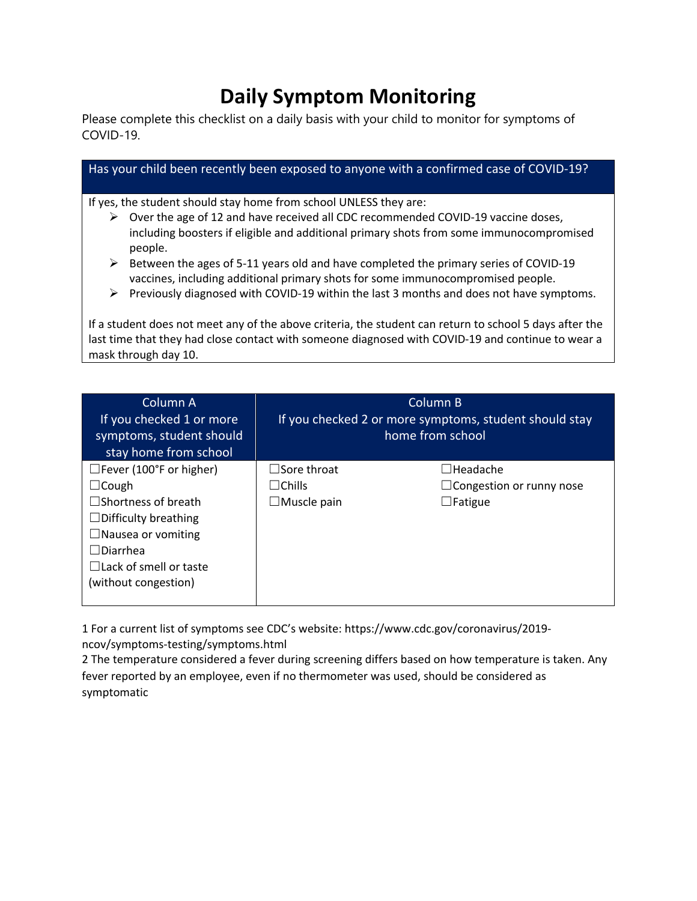## **Daily Symptom Monitoring**

Please complete this checklist on a daily basis with your child to monitor for symptoms of COVID-19.

| Has your child been recently been exposed to anyone with a confirmed case of COVID-19?                              |                                                                                                                                                                                                                                                                                                                                                                                                                                                                                                                                                                                                                                                                   |  |  |  |
|---------------------------------------------------------------------------------------------------------------------|-------------------------------------------------------------------------------------------------------------------------------------------------------------------------------------------------------------------------------------------------------------------------------------------------------------------------------------------------------------------------------------------------------------------------------------------------------------------------------------------------------------------------------------------------------------------------------------------------------------------------------------------------------------------|--|--|--|
| If yes, the student should stay home from school UNLESS they are:<br>➤<br>people.<br>➤<br>➤<br>mask through day 10. | Over the age of 12 and have received all CDC recommended COVID-19 vaccine doses,<br>including boosters if eligible and additional primary shots from some immunocompromised<br>Between the ages of 5-11 years old and have completed the primary series of COVID-19<br>vaccines, including additional primary shots for some immunocompromised people.<br>Previously diagnosed with COVID-19 within the last 3 months and does not have symptoms.<br>If a student does not meet any of the above criteria, the student can return to school 5 days after the<br>last time that they had close contact with someone diagnosed with COVID-19 and continue to wear a |  |  |  |
| Column A<br>If you checked 1 or more                                                                                | Column B<br>If you checked 2 or more symptoms, student should stay                                                                                                                                                                                                                                                                                                                                                                                                                                                                                                                                                                                                |  |  |  |

| symptoms, student should<br>stay home from school |                    | home from school                |
|---------------------------------------------------|--------------------|---------------------------------|
| $\Box$ Fever (100°F or higher)                    | $\Box$ Sore throat | $\Box$ Headache                 |
| $\Box$ Cough                                      | $\Box$ Chills      | $\Box$ Congestion or runny nose |
| $\square$ Shortness of breath                     | $\Box$ Muscle pain | $\Box$ Fatigue                  |
| $\Box$ Difficulty breathing                       |                    |                                 |
| $\Box$ Nausea or vomiting                         |                    |                                 |
| $\Box$ Diarrhea                                   |                    |                                 |
| $\Box$ Lack of smell or taste                     |                    |                                 |
| (without congestion)                              |                    |                                 |
|                                                   |                    |                                 |

1 For a current list of symptoms see CDC's website: https://www.cdc.gov/coronavirus/2019 ncov/symptoms-testing/symptoms.html

2 The temperature considered a fever during screening differs based on how temperature is taken. Any fever reported by an employee, even if no thermometer was used, should be considered as symptomatic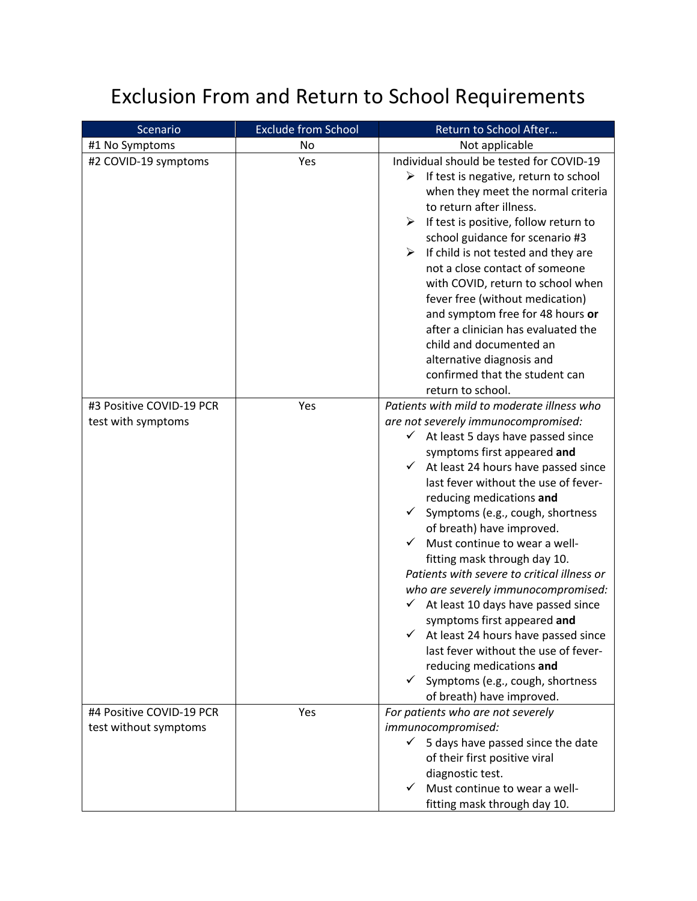## Exclusion From and Return to School Requirements

| Scenario                                          | <b>Exclude from School</b> | Return to School After                                                                                                                                                                                                                                                                                                                                                                                                                                                                                                                                                                                                                                                                                                                                                           |
|---------------------------------------------------|----------------------------|----------------------------------------------------------------------------------------------------------------------------------------------------------------------------------------------------------------------------------------------------------------------------------------------------------------------------------------------------------------------------------------------------------------------------------------------------------------------------------------------------------------------------------------------------------------------------------------------------------------------------------------------------------------------------------------------------------------------------------------------------------------------------------|
| #1 No Symptoms                                    | No                         | Not applicable                                                                                                                                                                                                                                                                                                                                                                                                                                                                                                                                                                                                                                                                                                                                                                   |
| #2 COVID-19 symptoms                              | Yes                        | Individual should be tested for COVID-19<br>If test is negative, return to school<br>➤<br>when they meet the normal criteria<br>to return after illness.<br>If test is positive, follow return to<br>⋗<br>school guidance for scenario #3<br>If child is not tested and they are<br>➤<br>not a close contact of someone<br>with COVID, return to school when<br>fever free (without medication)<br>and symptom free for 48 hours or<br>after a clinician has evaluated the<br>child and documented an<br>alternative diagnosis and<br>confirmed that the student can<br>return to school.                                                                                                                                                                                        |
| #3 Positive COVID-19 PCR<br>test with symptoms    | Yes                        | Patients with mild to moderate illness who<br>are not severely immunocompromised:<br>$\checkmark$ At least 5 days have passed since<br>symptoms first appeared and<br>At least 24 hours have passed since<br>✓<br>last fever without the use of fever-<br>reducing medications and<br>$\checkmark$<br>Symptoms (e.g., cough, shortness<br>of breath) have improved.<br>Must continue to wear a well-<br>fitting mask through day 10.<br>Patients with severe to critical illness or<br>who are severely immunocompromised:<br>At least 10 days have passed since<br>symptoms first appeared and<br>At least 24 hours have passed since<br>last fever without the use of fever-<br>reducing medications and<br>Symptoms (e.g., cough, shortness<br>✓<br>of breath) have improved. |
| #4 Positive COVID-19 PCR<br>test without symptoms | Yes                        | For patients who are not severely<br>immunocompromised:<br>✓<br>5 days have passed since the date<br>of their first positive viral<br>diagnostic test.<br>Must continue to wear a well-<br>✓<br>fitting mask through day 10.                                                                                                                                                                                                                                                                                                                                                                                                                                                                                                                                                     |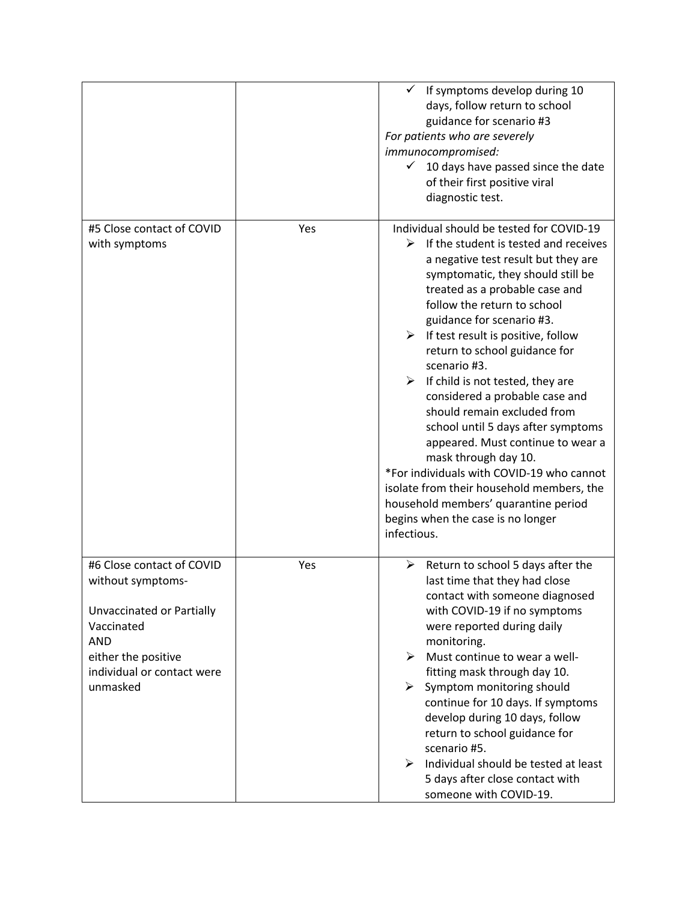|                                                                                                                                                                          |     | If symptoms develop during 10<br>days, follow return to school<br>guidance for scenario #3<br>For patients who are severely<br>immunocompromised:<br>10 days have passed since the date<br>$\checkmark$<br>of their first positive viral<br>diagnostic test.                                                                                                                                                                                                                                                                                                                                                                                                                                                                                                                |
|--------------------------------------------------------------------------------------------------------------------------------------------------------------------------|-----|-----------------------------------------------------------------------------------------------------------------------------------------------------------------------------------------------------------------------------------------------------------------------------------------------------------------------------------------------------------------------------------------------------------------------------------------------------------------------------------------------------------------------------------------------------------------------------------------------------------------------------------------------------------------------------------------------------------------------------------------------------------------------------|
| #5 Close contact of COVID<br>with symptoms                                                                                                                               | Yes | Individual should be tested for COVID-19<br>➤<br>If the student is tested and receives<br>a negative test result but they are<br>symptomatic, they should still be<br>treated as a probable case and<br>follow the return to school<br>guidance for scenario #3.<br>If test result is positive, follow<br>≻<br>return to school guidance for<br>scenario #3.<br>$\triangleright$ If child is not tested, they are<br>considered a probable case and<br>should remain excluded from<br>school until 5 days after symptoms<br>appeared. Must continue to wear a<br>mask through day 10.<br>*For individuals with COVID-19 who cannot<br>isolate from their household members, the<br>household members' quarantine period<br>begins when the case is no longer<br>infectious. |
| #6 Close contact of COVID<br>without symptoms-<br>Unvaccinated or Partially<br>Vaccinated<br><b>AND</b><br>either the positive<br>individual or contact were<br>unmasked | Yes | Return to school 5 days after the<br>➤<br>last time that they had close<br>contact with someone diagnosed<br>with COVID-19 if no symptoms<br>were reported during daily<br>monitoring.<br>Must continue to wear a well-<br>⋗<br>fitting mask through day 10.<br>➤<br>Symptom monitoring should<br>continue for 10 days. If symptoms<br>develop during 10 days, follow<br>return to school guidance for<br>scenario #5.<br>Individual should be tested at least<br>➤<br>5 days after close contact with<br>someone with COVID-19.                                                                                                                                                                                                                                            |